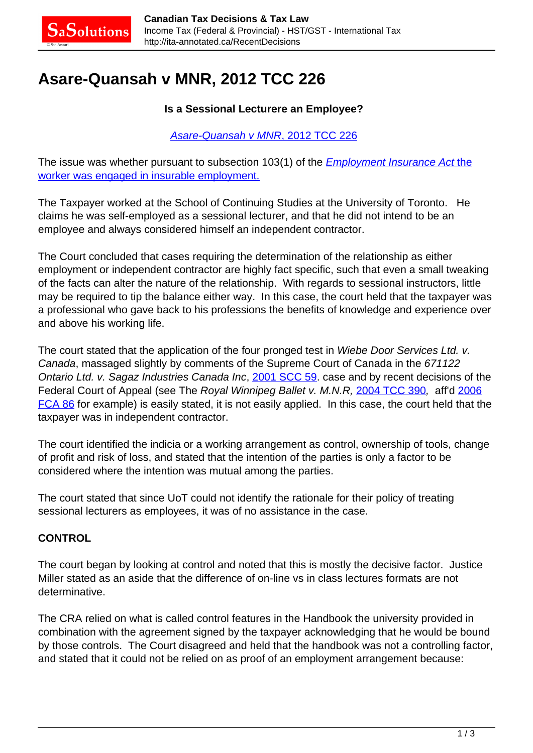# **Asare-Quansah v MNR, 2012 TCC 226**

### **Is a Sessional Lecturere an Employee?**

#### [Asare-Quansah v MNR](http://canlii.ca/t/frv0m)[, 2012 TCC 226](http://canlii.ca/t/frv0m)

The issue was whether pursuant to subsection 103(1) of [the](http://canlii.ca/t/1hrj6) **[Employment Insurance Act](http://canlii.ca/t/7vtf) the** [worker was engaged in insurable employment.](http://canlii.ca/t/1hrj6)

The Taxpayer worked at the School of Continuing Studies at the University of Toronto. He claims he was self-employed as a sessional lecturer, and that he did not intend to be an employee and always considered himself an independent contractor.

The Court concluded that cases requiring the determination of the relationship as either employment or independent contractor are highly fact specific, such that even a small tweaking of the facts can alter the nature of the relationship. With regards to sessional instructors, little may be required to tip the balance either way. In this case, the court held that the taxpayer was a professional who gave back to his professions the benefits of knowledge and experience over and above his working life.

The court stated that the application of the four pronged test in Wiebe Door Services Ltd. v. Canada, massaged slightly by comments of the Supreme Court of Canada in the 671122 Ontario Ltd. v. Sagaz Industries Canada Inc, [2001 SCC 59](http://canlii.ca/t/51z6). case and by recent decisions of the Federal Court of Appeal (see The Royal Winnipeg Ballet v. M.N.R, [2004 TCC 390](http://canlii.ca/t/1hrj6), aff'd [2006](http://canlii.ca/t/1mr2d) [FCA 86](http://canlii.ca/t/1mr2d) for example) is easily stated, it is not easily applied. In this case, the court held that the taxpayer was in independent contractor.

The court identified the indicia or a working arrangement as control, ownership of tools, change of profit and risk of loss, and stated that the intention of the parties is only a factor to be considered where the intention was mutual among the parties.

The court stated that since UoT could not identify the rationale for their policy of treating sessional lecturers as employees, it was of no assistance in the case.

# **CONTROL**

The court began by looking at control and noted that this is mostly the decisive factor. Justice Miller stated as an aside that the difference of on-line vs in class lectures formats are not determinative.

The CRA relied on what is called control features in the Handbook the university provided in combination with the agreement signed by the taxpayer acknowledging that he would be bound by those controls. The Court disagreed and held that the handbook was not a controlling factor, and stated that it could not be relied on as proof of an employment arrangement because: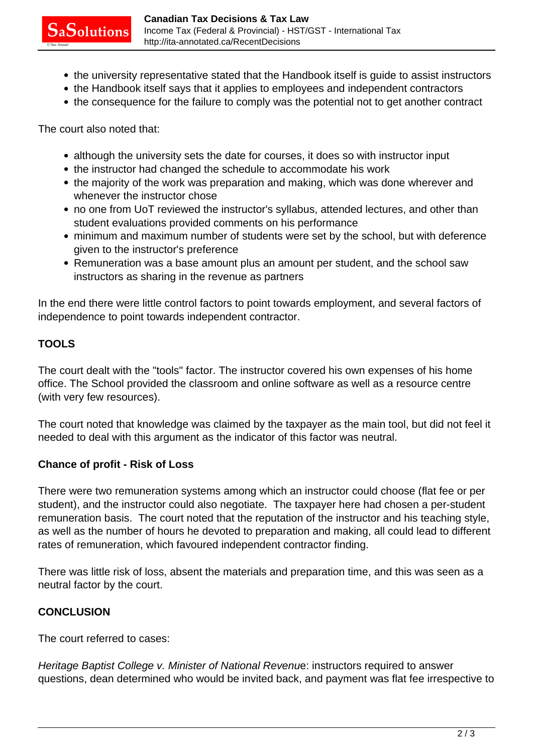- the university representative stated that the Handbook itself is quide to assist instructors
- the Handbook itself says that it applies to employees and independent contractors
- the consequence for the failure to comply was the potential not to get another contract

The court also noted that:

- although the university sets the date for courses, it does so with instructor input
- the instructor had changed the schedule to accommodate his work
- the majority of the work was preparation and making, which was done wherever and whenever the instructor chose
- no one from UoT reviewed the instructor's syllabus, attended lectures, and other than student evaluations provided comments on his performance
- minimum and maximum number of students were set by the school, but with deference given to the instructor's preference
- Remuneration was a base amount plus an amount per student, and the school saw instructors as sharing in the revenue as partners

In the end there were little control factors to point towards employment, and several factors of independence to point towards independent contractor.

#### **TOOLS**

The court dealt with the "tools" factor. The instructor covered his own expenses of his home office. The School provided the classroom and online software as well as a resource centre (with very few resources).

The court noted that knowledge was claimed by the taxpayer as the main tool, but did not feel it needed to deal with this argument as the indicator of this factor was neutral.

#### **Chance of profit - Risk of Loss**

There were two remuneration systems among which an instructor could choose (flat fee or per student), and the instructor could also negotiate. The taxpayer here had chosen a per-student remuneration basis. The court noted that the reputation of the instructor and his teaching style, as well as the number of hours he devoted to preparation and making, all could lead to different rates of remuneration, which favoured independent contractor finding.

There was little risk of loss, absent the materials and preparation time, and this was seen as a neutral factor by the court.

# **CONCLUSION**

The court referred to cases:

Heritage Baptist College v. Minister of National Revenue: instructors required to answer questions, dean determined who would be invited back, and payment was flat fee irrespective to